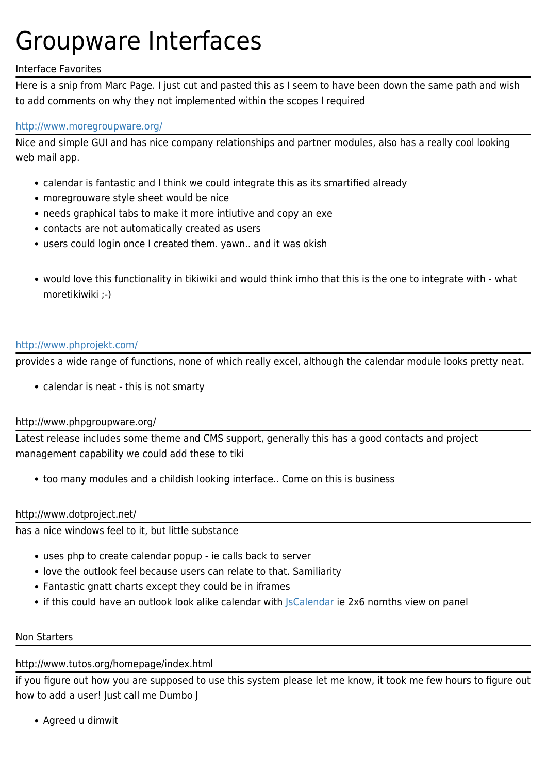# Groupware Interfaces

## Interface Favorites

Here is a snip from Marc Page. I just cut and pasted this as I seem to have been down the same path and wish to add comments on why they not implemented within the scopes I required

### <http://www.moregroupware.org/>

Nice and simple GUI and has nice company relationships and partner modules, also has a really cool looking web mail app.

- calendar is fantastic and I think we could integrate this as its smartified already
- moregrouware style sheet would be nice
- needs graphical tabs to make it more intiutive and copy an exe
- contacts are not automatically created as users
- users could login once I created them. yawn.. and it was okish
- would love this functionality in tikiwiki and would think imho that this is the one to integrate with what moretikiwiki ;-)

#### <http://www.phprojekt.com/>

provides a wide range of functions, none of which really excel, although the calendar module looks pretty neat.

calendar is neat - this is not smarty

### http://www.phpgroupware.org/

Latest release includes some theme and CMS support, generally this has a good contacts and project management capability we could add these to tiki

too many modules and a childish looking interface.. Come on this is business

### http://www.dotproject.net/

has a nice windows feel to it, but little substance

- uses php to create calendar popup ie calls back to server
- love the outlook feel because users can relate to that. Samiliarity
- Fantastic gnatt charts except they could be in iframes
- if this could have an outlook look alike calendar with Scalendar ie 2x6 nomths view on panel

#### Non Starters

### http://www.tutos.org/homepage/index.html

if you figure out how you are supposed to use this system please let me know, it took me few hours to figure out how to add a user! Just call me Dumbo J

Agreed u dimwit